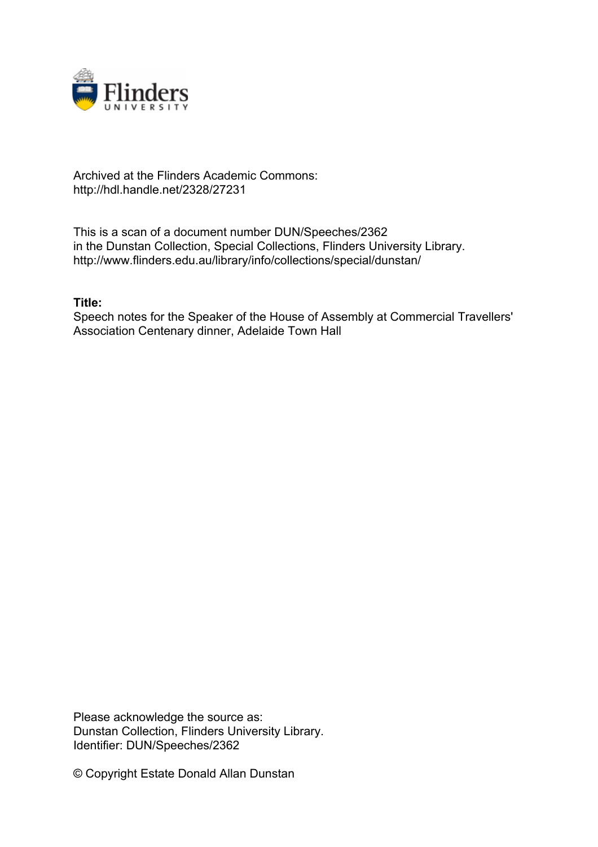

## Archived at the Flinders Academic Commons: http://hdl.handle.net/2328/27231

This is a scan of a document number DUN/Speeches/2362 in the Dunstan Collection, Special Collections, Flinders University Library. http://www.flinders.edu.au/library/info/collections/special/dunstan/

## **Title:**

Speech notes for the Speaker of the House of Assembly at Commercial Travellers' Association Centenary dinner, Adelaide Town Hall

Please acknowledge the source as: Dunstan Collection, Flinders University Library. Identifier: DUN/Speeches/2362

© Copyright Estate Donald Allan Dunstan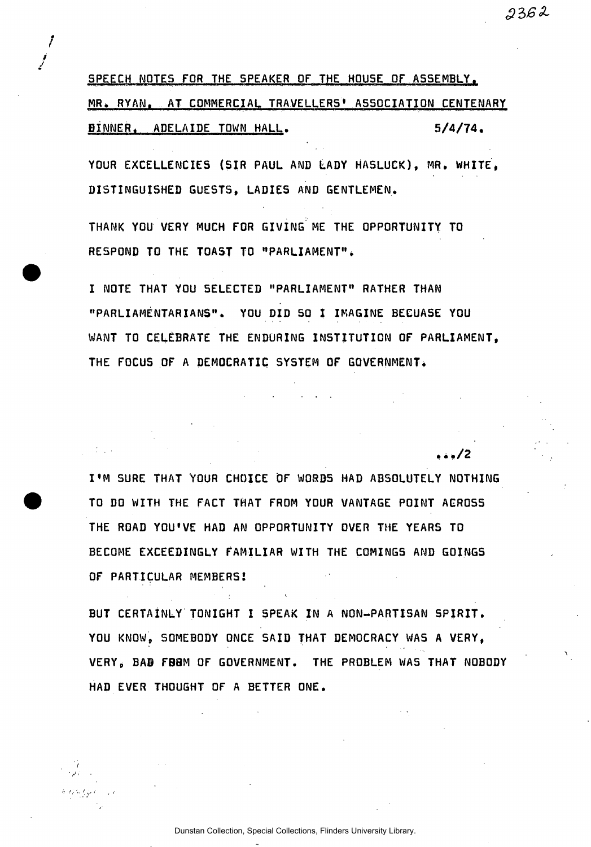SPEECH NOTES FOR THE SPEAKER OF THE HOUSE OF ASSEMBLY. MR. RYAN. AT COMMERCIAL TRAVELLERS' ASSOCIATION CENTENARY BINNER. ADELAIDE TOWN HALL. 5/4/74.

*i j* 

 $2362$ 

• . ./ 2

YOUR EXCELLENCIES (SIR PAUL AND LADY HASLUCK), MR. WHITE, DISTINGUISHED GUESTS, LADIES AND GENTLEMEN.

THANK YOU VERY MUCH FOR GIVING ME THE OPPORTUNITY TO RESPOND TO THE TOAST TO "PARLIAMENT".

I NOTE THAT YOU SELECTED "PARLIAMENT" RATHER THAN "PARLIAMENTARIANS". YOU DID 50 I IMAGINE BECUASE YOU WANT TO CELEBRATE THE ENDURING INSTITUTION OF PARLIAMENT, THE FOCUS OF A DEMOCRATIC SYSTEM OF GOVERNMENT.

I'M SURE THAT YOUR CHOICE OF WORDS HAD ABSOLUTELY NOTHING TO DO WITH THE FACT THAT FROM YOUR VANTAGE POINT ACROSS THE ROAD YOU'VE HAD AN OPPORTUNITY OVER THE YEARS TO BECOME EXCEEDINGLY FAMILIAR WITH THE COMINGS AND GOINGS OF PARTICULAR MEMBERS!

BUT CERTAINLY TONIGHT I SPEAK IN A NON-PARTISAN SPIRIT. YOU KNOW, SOMEBODY ONCE SAID THAT DEMOCRACY WAS A VERY, VERY, BAB FBBM OF GOVERNMENT. THE PROBLEM WAS THAT NOBODY HAD EVER THOUGHT OF A BETTER ONE.

Dunstan Collection, Special Collections, Flinders University Library.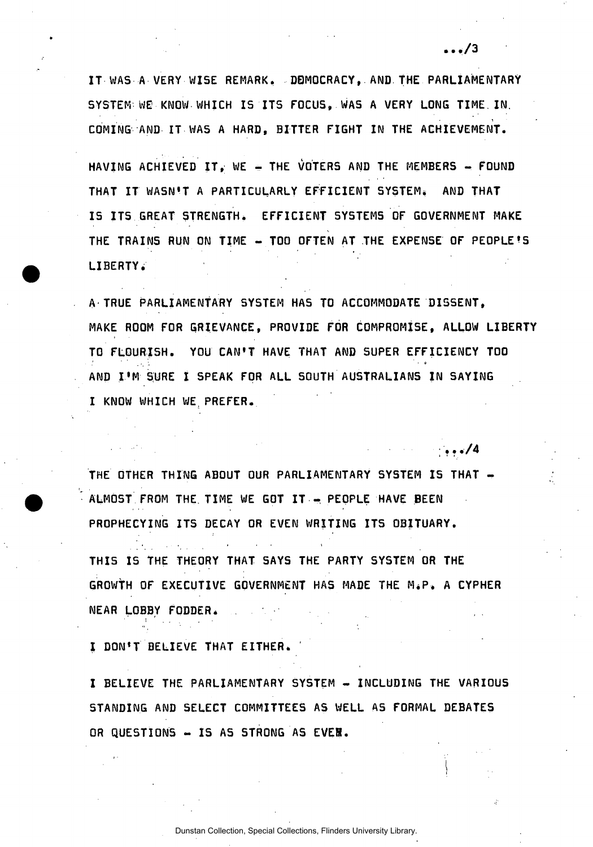IT WAS A VERY WISE REMARK. DEMOCRACY, AND THE PARLIAMENTARY SYSTEM-WE-KNOW-WHICH IS ITS FOCUS. WAS A VERY LONG TIME IN. COMING AND IT WAS A HARD, BITTER FIGHT IN THE ACHIEVEMENT.

HAVING ACHIEVED IT, WE - THE VOTERS AND THE MEMBERS - FOUND THAT IT WASN'T A PARTICULARLY EFFICIENT SYSTEM. AND THAT IS ITS GREAT STRENGTH. EFFICIENT SYSTEMS OF GOVERNMENT MAKE THE TRAINS RUN ON TIME - TOO OFTEN AT THE EXPENSE OF PEOPLE'S LIBERTY.

A TRUE PARLIAMENTARY SYSTEM HAS TO ACCOMMODATE DISSENT, MAKE ROOM FOR GRIEVANCE, PROVIDE FOR COMPROMISE, ALLOW LIBERTY TO FLOURISH. YOU CAN'T HAVE THAT AND SUPER EFFICIENCY TOO AND I'M SURE I SPEAK FOR ALL SOUTH AUSTRALIANS IN SAYING I KNOW WHICH WE PREFER.

;•••/ 4

 $\ldots/3$ 

THE OTHER THING ABOUT OUR PARLIAMENTARY SYSTEM IS THAT -ALMOST FROM THE TIME WE GOT IT - PEOPLE HAVE BEEN PROPHECYING ITS DECAY OR EVEN WRITING ITS OBITUARY.

THIS IS THE THEORY THAT SAYS THE PARTY SYSTEM OR THE GROWTH OF EXECUTIVE GOVERNMENT HAS MADE THE M.P. A CYPHER NEAR LOBBY FODDER.

I DON'T BELIEVE THAT EITHER.

I BELIEVE THE PARLIAMENTARY SYSTEM - INCLUDING THE VARIOUS STANDING AND SELECT COMMITTEES AS WELL AS FORMAL DEBATES OR QUESTIONS - IS AS STRONG AS EVEN.